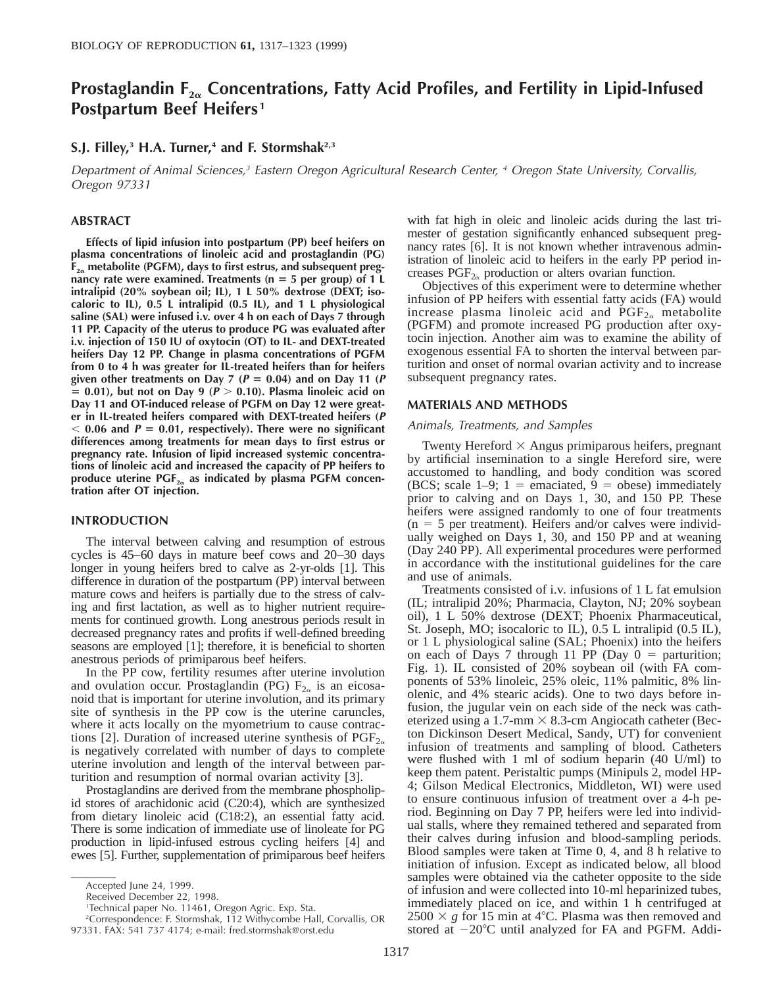# **Prostaglandin F2**<sup>a</sup> **Concentrations, Fatty Acid Profiles, and Fertility in Lipid-Infused Postpartum Beef Heifers <sup>1</sup>**

# **S.J. Filley,3 H.A. Turner,4 and F. Stormshak2,3**

Department of Animal Sciences,<sup>3</sup> Eastern Oregon Agricultural Research Center, <sup>4</sup> Oregon State University, Corvallis, Oregon 97331

# **ABSTRACT**

**Effects of lipid infusion into postpartum (PP) beef heifers on plasma concentrations of linoleic acid and prostaglandin (PG) F2**<sup>a</sup> **metabolite (PGFM), days to first estrus, and subsequent pregnancy rate were examined. Treatments (n = 5 per group) of 1 L intralipid (20% soybean oil; IL), 1 L 50% dextrose (DEXT; isocaloric to IL), 0.5 L intralipid (0.5 IL), and 1 L physiological saline (SAL) were infused i.v. over 4 h on each of Days 7 through 11 PP. Capacity of the uterus to produce PG was evaluated after i.v. injection of 150 IU of oxytocin (OT) to IL- and DEXT-treated heifers Day 12 PP. Change in plasma concentrations of PGFM from 0 to 4 h was greater for IL-treated heifers than for heifers** given other treatments on Day 7 ( $P = 0.04$ ) and on Day 11 ( $P$  $\leq$  0.01), but not on Day 9 ( $\mathbf{P} > 0.10$ ). Plasma linoleic acid on **Day 11 and OT-induced release of PGFM on Day 12 were greater in IL-treated heifers compared with DEXT-treated heifers (<sup>P</sup>**  $<$  0.06 and  $P = 0.01$ , respectively). There were no significant **differences among treatments for mean days to first estrus or pregnancy rate. Infusion of lipid increased systemic concentrations of linoleic acid and increased the capacity of PP heifers to** produce uterine PGF<sub>2<sup>a</sup></sub> as indicated by plasma PGFM concen**tration after OT injection.**

# **INTRODUCTION**

The interval between calving and resumption of estrous cycles is 45–60 days in mature beef cows and 20–30 days longer in young heifers bred to calve as 2-yr-olds [1]. This difference in duration of the postpartum (PP) interval between mature cows and heifers is partially due to the stress of calving and first lactation, as well as to higher nutrient requirements for continued growth. Long anestrous periods result in decreased pregnancy rates and profits if well-defined breeding seasons are employed [1]; therefore, it is beneficial to shorten anestrous periods of primiparous beef heifers.

In the PP cow, fertility resumes after uterine involution and ovulation occur. Prostaglandin (PG)  $F_{2\alpha}$  is an eicosanoid that is important for uterine involution, and its primary site of synthesis in the PP cow is the uterine caruncles, where it acts locally on the myometrium to cause contractions [2]. Duration of increased uterine synthesis of  $PGF_{2\alpha}$ is negatively correlated with number of days to complete uterine involution and length of the interval between parturition and resumption of normal ovarian activity [3].

Prostaglandins are derived from the membrane phospholipid stores of arachidonic acid (C20:4), which are synthesized from dietary linoleic acid (C18:2), an essential fatty acid. There is some indication of immediate use of linoleate for PG production in lipid-infused estrous cycling heifers [4] and ewes [5]. Further, supplementation of primiparous beef heifers

with fat high in oleic and linoleic acids during the last trimester of gestation significantly enhanced subsequent pregnancy rates [6]. It is not known whether intravenous administration of linoleic acid to heifers in the early PP period increases  $PGF_{2\alpha}$  production or alters ovarian function.

Objectives of this experiment were to determine whether infusion of PP heifers with essential fatty acids (FA) would increase plasma linoleic acid and  $PGF_{2\alpha}$  metabolite (PGFM) and promote increased PG production after oxytocin injection. Another aim was to examine the ability of exogenous essential FA to shorten the interval between parturition and onset of normal ovarian activity and to increase subsequent pregnancy rates.

### **MATERIALS AND METHODS**

#### Animals, Treatments, and Samples

Twenty Hereford  $\times$  Angus primiparous heifers, pregnant by artificial insemination to a single Hereford sire, were accustomed to handling, and body condition was scored (BCS; scale 1–9; 1 = emaciated, 9 = obese) immediately prior to calving and on Days 1, 30, and 150 PP. These heifers were assigned randomly to one of four treatments  $(n = 5$  per treatment). Heifers and/or calves were individually weighed on Days 1, 30, and 150 PP and at weaning (Day 240 PP). All experimental procedures were performed in accordance with the institutional guidelines for the care and use of animals.

Treatments consisted of i.v. infusions of 1 L fat emulsion (IL; intralipid 20%; Pharmacia, Clayton, NJ; 20% soybean oil), 1 L 50% dextrose (DEXT; Phoenix Pharmaceutical, St. Joseph, MO; isocaloric to IL), 0.5 L intralipid (0.5 IL), or 1 L physiological saline (SAL; Phoenix) into the heifers on each of Days 7 through 11 PP (Day  $0 =$  parturition; Fig. 1). IL consisted of 20% soybean oil (with FA components of 53% linoleic, 25% oleic, 11% palmitic, 8% linolenic, and 4% stearic acids). One to two days before infusion, the jugular vein on each side of the neck was catheterized using a 1.7-mm  $\times$  8.3-cm Angiocath catheter (Becton Dickinson Desert Medical, Sandy, UT) for convenient infusion of treatments and sampling of blood. Catheters were flushed with 1 ml of sodium heparin (40 U/ml) to keep them patent. Peristaltic pumps (Minipuls 2, model HP-4; Gilson Medical Electronics, Middleton, WI) were used to ensure continuous infusion of treatment over a 4-h period. Beginning on Day 7 PP, heifers were led into individual stalls, where they remained tethered and separated from their calves during infusion and blood-sampling periods. Blood samples were taken at Time 0, 4, and 8 h relative to initiation of infusion. Except as indicated below, all blood samples were obtained via the catheter opposite to the side of infusion and were collected into 10-ml heparinized tubes, immediately placed on ice, and within 1 h centrifuged at  $2500 \times g$  for 15 min at 4°C. Plasma was then removed and stored at  $-20^{\circ}$ C until analyzed for FA and PGFM. Addi-

Accepted June 24, 1999.

Received December 22, 1998.

<sup>1</sup>Technical paper No. 11461, Oregon Agric. Exp. Sta.

<sup>2</sup>Correspondence: F. Stormshak, 112 Withycombe Hall, Corvallis, OR 97331. FAX: 541 737 4174; e-mail: fred.stormshak@orst.edu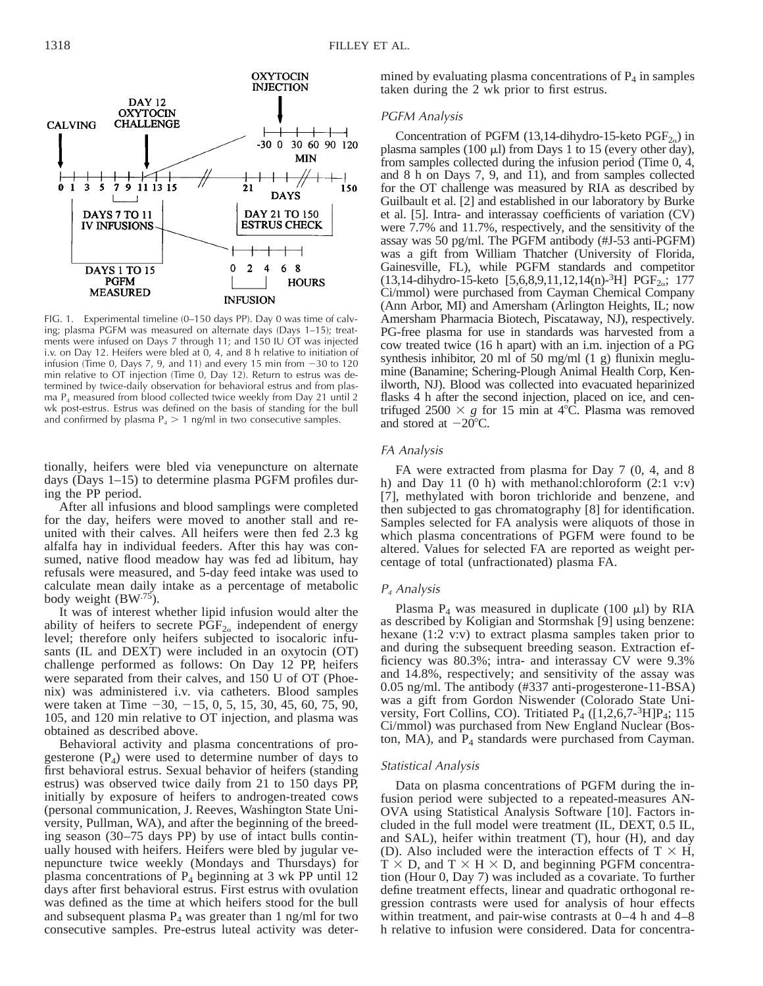

FIG. 1. Experimental timeline (0–150 days PP). Day 0 was time of calving; plasma PGFM was measured on alternate days (Days 1–15); treatments were infused on Days 7 through 11; and 150 IU OT was injected i.v. on Day 12. Heifers were bled at 0, 4, and 8 h relative to initiation of infusion (Time 0, Days 7, 9, and 11) and every 15 min from  $-30$  to 120 min relative to OT injection (Time 0, Day 12). Return to estrus was determined by twice-daily observation for behavioral estrus and from plasma  $P_4$  measured from blood collected twice weekly from Day 21 until 2 wk post-estrus. Estrus was defined on the basis of standing for the bull and confirmed by plasma  $P_4 > 1$  ng/ml in two consecutive samples.

tionally, heifers were bled via venepuncture on alternate days (Days 1–15) to determine plasma PGFM profiles during the PP period.

After all infusions and blood samplings were completed for the day, heifers were moved to another stall and reunited with their calves. All heifers were then fed 2.3 kg alfalfa hay in individual feeders. After this hay was consumed, native flood meadow hay was fed ad libitum, hay refusals were measured, and 5-day feed intake was used to calculate mean daily intake as a percentage of metabolic body weight  $(BW^{.75})$ .

It was of interest whether lipid infusion would alter the ability of heifers to secrete  $PGF_{2\alpha}$  independent of energy level; therefore only heifers subjected to isocaloric infusants (IL and DEXT) were included in an oxytocin (OT) challenge performed as follows: On Day 12 PP, heifers were separated from their calves, and 150 U of OT (Phoenix) was administered i.v. via catheters. Blood samples were taken at Time  $-30, -15, 0, 5, 15, 30, 45, 60, 75, 90,$ 105, and 120 min relative to OT injection, and plasma was obtained as described above.

Behavioral activity and plasma concentrations of progesterone  $(P_4)$  were used to determine number of days to first behavioral estrus. Sexual behavior of heifers (standing estrus) was observed twice daily from 21 to 150 days PP, initially by exposure of heifers to androgen-treated cows (personal communication, J. Reeves, Washington State University, Pullman, WA), and after the beginning of the breeding season (30–75 days PP) by use of intact bulls continually housed with heifers. Heifers were bled by jugular venepuncture twice weekly (Mondays and Thursdays) for plasma concentrations of  $P_4$  beginning at 3 wk PP until 12 days after first behavioral estrus. First estrus with ovulation was defined as the time at which heifers stood for the bull and subsequent plasma  $P_4$  was greater than 1 ng/ml for two consecutive samples. Pre-estrus luteal activity was determined by evaluating plasma concentrations of  $P_4$  in samples taken during the 2 wk prior to first estrus.

## PGFM Analysis

Concentration of PGFM (13,14-dihydro-15-keto  $PGF_{2\alpha}$ ) in plasma samples (100  $\mu$ l) from Days 1 to 15 (every other day), from samples collected during the infusion period (Time 0, 4, and 8 h on Days 7, 9, and 11), and from samples collected for the OT challenge was measured by RIA as described by Guilbault et al. [2] and established in our laboratory by Burke et al. [5]. Intra- and interassay coefficients of variation (CV) were 7.7% and 11.7%, respectively, and the sensitivity of the assay was 50 pg/ml. The PGFM antibody (#J-53 anti-PGFM) was a gift from William Thatcher (University of Florida, Gainesville, FL), while PGFM standards and competitor  $(13,14$ -dihydro-15-keto  $[5,6,8,9,11,12,14(n)-<sup>3</sup>H]$  PGF<sub>2o</sub>; 177 Ci/mmol) were purchased from Cayman Chemical Company (Ann Arbor, MI) and Amersham (Arlington Heights, IL; now Amersham Pharmacia Biotech, Piscataway, NJ), respectively. PG-free plasma for use in standards was harvested from a cow treated twice (16 h apart) with an i.m. injection of a PG synthesis inhibitor, 20 ml of 50 mg/ml (1 g) flunixin meglumine (Banamine; Schering-Plough Animal Health Corp, Kenilworth, NJ). Blood was collected into evacuated heparinized flasks 4 h after the second injection, placed on ice, and centrifuged  $2500 \times g$  for 15 min at 4°C. Plasma was removed and stored at  $-20^{\circ}$ C.

# FA Analysis

FA were extracted from plasma for Day 7 (0, 4, and 8 h) and Day 11 (0 h) with methanol:chloroform  $(2:1 v:v)$ [7], methylated with boron trichloride and benzene, and then subjected to gas chromatography [8] for identification. Samples selected for FA analysis were aliquots of those in which plasma concentrations of PGFM were found to be altered. Values for selected FA are reported as weight percentage of total (unfractionated) plasma FA.

### <sup>P</sup><sup>4</sup> Analysis

Plasma  $P_4$  was measured in duplicate (100  $\mu$ l) by RIA as described by Koligian and Stormshak [9] using benzene: hexane (1:2 v:v) to extract plasma samples taken prior to and during the subsequent breeding season. Extraction efficiency was 80.3%; intra- and interassay CV were 9.3% and 14.8%, respectively; and sensitivity of the assay was 0.05 ng/ml. The antibody (#337 anti-progesterone-11-BSA) was a gift from Gordon Niswender (Colorado State University, Fort Collins, CO). Tritiated  $P_4$  ([1,2,6,7-3H] $P_4$ ; 115 Ci/mmol) was purchased from New England Nuclear (Boston, MA), and  $P_4$  standards were purchased from Cayman.

#### Statistical Analysis

Data on plasma concentrations of PGFM during the infusion period were subjected to a repeated-measures AN-OVA using Statistical Analysis Software [10]. Factors included in the full model were treatment (IL, DEXT, 0.5 IL, and SAL), heifer within treatment (T), hour (H), and day (D). Also included were the interaction effects of  $T \times H$ ,  $T \times D$ , and  $T \times H \times D$ , and beginning PGFM concentration (Hour 0, Day 7) was included as a covariate. To further define treatment effects, linear and quadratic orthogonal regression contrasts were used for analysis of hour effects within treatment, and pair-wise contrasts at 0–4 h and 4–8 h relative to infusion were considered. Data for concentra-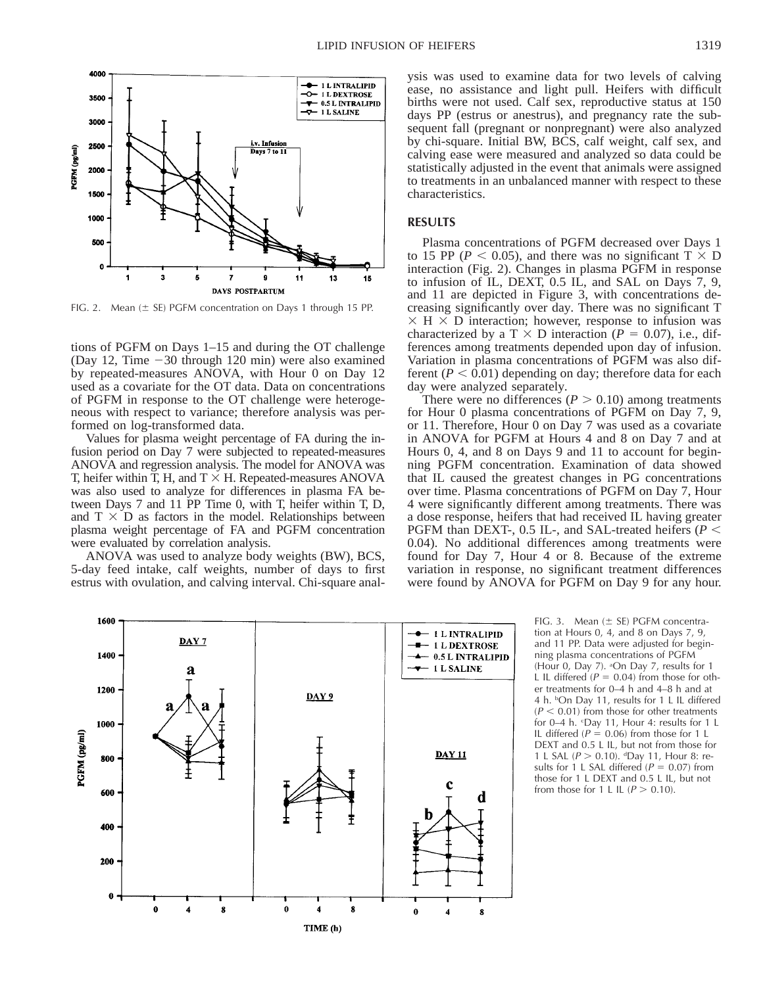

FIG. 2. Mean  $(\pm 5E)$  PGFM concentration on Days 1 through 15 PP.

tions of PGFM on Days 1–15 and during the OT challenge (Day 12, Time  $-30$  through 120 min) were also examined by repeated-measures ANOVA, with Hour 0 on Day 12 used as a covariate for the OT data. Data on concentrations of PGFM in response to the OT challenge were heterogeneous with respect to variance; therefore analysis was performed on log-transformed data.

Values for plasma weight percentage of FA during the infusion period on Day 7 were subjected to repeated-measures ANOVA and regression analysis. The model for ANOVA was T, heifer within T, H, and  $T \times H$ . Repeated-measures ANOVA was also used to analyze for differences in plasma FA between Days 7 and 11 PP Time 0, with T, heifer within T, D, and  $T \times D$  as factors in the model. Relationships between plasma weight percentage of FA and PGFM concentration were evaluated by correlation analysis.

ANOVA was used to analyze body weights (BW), BCS, 5-day feed intake, calf weights, number of days to first estrus with ovulation, and calving interval. Chi-square analysis was used to examine data for two levels of calving ease, no assistance and light pull. Heifers with difficult births were not used. Calf sex, reproductive status at 150 days PP (estrus or anestrus), and pregnancy rate the subsequent fall (pregnant or nonpregnant) were also analyzed by chi-square. Initial BW, BCS, calf weight, calf sex, and calving ease were measured and analyzed so data could be statistically adjusted in the event that animals were assigned to treatments in an unbalanced manner with respect to these characteristics.

# **RESULTS**

Plasma concentrations of PGFM decreased over Days 1 to 15 PP ( $P < 0.05$ ), and there was no significant T  $\times$  D interaction (Fig. 2). Changes in plasma PGFM in response to infusion of IL, DEXT, 0.5 IL, and SAL on Days 7, 9, and 11 are depicted in Figure 3, with concentrations decreasing significantly over day. There was no significant T  $\times$  H  $\times$  D interaction; however, response to infusion was characterized by a T  $\times$  D interaction ( $P = 0.07$ ), i.e., differences among treatments depended upon day of infusion. Variation in plasma concentrations of PGFM was also different  $(P < 0.01)$  depending on day; therefore data for each day were analyzed separately.

There were no differences ( $P > 0.10$ ) among treatments for Hour 0 plasma concentrations of PGFM on Day 7, 9, or 11. Therefore, Hour 0 on Day 7 was used as a covariate in ANOVA for PGFM at Hours 4 and 8 on Day 7 and at Hours 0, 4, and 8 on Days 9 and 11 to account for beginning PGFM concentration. Examination of data showed that IL caused the greatest changes in PG concentrations over time. Plasma concentrations of PGFM on Day 7, Hour 4 were significantly different among treatments. There was a dose response, heifers that had received IL having greater PGFM than DEXT-, 0.5 IL-, and SAL-treated heifers ( $P <$ 0.04). No additional differences among treatments were found for Day 7, Hour 4 or 8. Because of the extreme variation in response, no significant treatment differences were found by ANOVA for PGFM on Day 9 for any hour.



FIG. 3. Mean  $(\pm$  SE) PGFM concentration at Hours 0, 4, and 8 on Days 7, 9, and 11 PP. Data were adjusted for beginning plasma concentrations of PGFM (Hour 0, Day 7). <sup>a</sup>On Day 7, results for 1 L IL differed  $(P = 0.04)$  from those for other treatments for 0–4 h and 4–8 h and at 4 h. bOn Day 11, results for 1 L IL differed  $(P < 0.01)$  from those for other treatments for 0–4 h. <sup>c</sup>Day 11, Hour 4: results for 1 L IL differed ( $P = 0.06$ ) from those for 1 L DEXT and 0.5 L IL, but not from those for 1 L SAL ( $P > 0.10$ ). dDay 11, Hour 8: results for 1 L SAL differed ( $P = 0.07$ ) from those for 1 L DEXT and 0.5 L IL, but not from those for 1 L IL  $(P > 0.10)$ .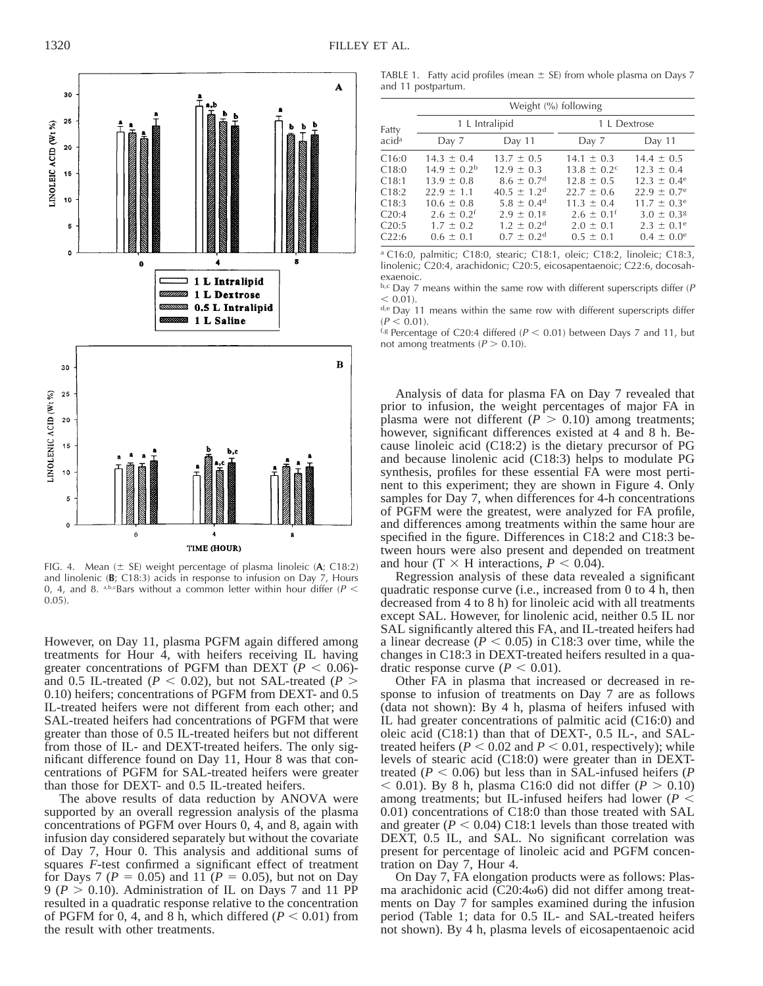

FIG. 4. Mean  $(\pm$  SE) weight percentage of plasma linoleic  $(A; C18:2)$ and linolenic (**B**; C18:3) acids in response to infusion on Day 7, Hours 0, 4, and 8. a,b,cBars without a common letter within hour differ ( $P <$ 0.05).

However, on Day 11, plasma PGFM again differed among treatments for Hour 4, with heifers receiving IL having greater concentrations of PGFM than DEXT ( $P < 0.06$ )and 0.5 IL-treated ( $P < 0.02$ ), but not SAL-treated ( $P >$ 0.10) heifers; concentrations of PGFM from DEXT- and 0.5 IL-treated heifers were not different from each other; and SAL-treated heifers had concentrations of PGFM that were greater than those of 0.5 IL-treated heifers but not different from those of IL- and DEXT-treated heifers. The only significant difference found on Day 11, Hour 8 was that concentrations of PGFM for SAL-treated heifers were greater than those for DEXT- and 0.5 IL-treated heifers.

The above results of data reduction by ANOVA were supported by an overall regression analysis of the plasma concentrations of PGFM over Hours 0, 4, and 8, again with infusion day considered separately but without the covariate of Day 7, Hour 0. This analysis and additional sums of squares *F*-test confirmed a significant effect of treatment for Days 7 ( $P = 0.05$ ) and 11 ( $P = 0.05$ ), but not on Day 9 ( $P > 0.10$ ). Administration of IL on Days 7 and 11 PP resulted in a quadratic response relative to the concentration of PGFM for 0, 4, and 8 h, which differed  $(P < 0.01)$  from the result with other treatments.

TABLE 1. Fatty acid profiles (mean  $\pm$  SE) from whole plasma on Days 7 and 11 postpartum.

|                                                                                  | Weight (%) following                                                                                                                                           |                                                                                                                                                                                                      |                                                                                                                                                                     |                                                                                                                                                                                         |  |  |  |  |
|----------------------------------------------------------------------------------|----------------------------------------------------------------------------------------------------------------------------------------------------------------|------------------------------------------------------------------------------------------------------------------------------------------------------------------------------------------------------|---------------------------------------------------------------------------------------------------------------------------------------------------------------------|-----------------------------------------------------------------------------------------------------------------------------------------------------------------------------------------|--|--|--|--|
| Fatty                                                                            | 1 L Intralipid                                                                                                                                                 |                                                                                                                                                                                                      | 1 L Dextrose                                                                                                                                                        |                                                                                                                                                                                         |  |  |  |  |
| acidª                                                                            | Day 7                                                                                                                                                          | Day 11                                                                                                                                                                                               | Day 7                                                                                                                                                               | Day 11                                                                                                                                                                                  |  |  |  |  |
| C16:0<br>C18:0<br>C18:1<br>C18:2<br>C18:3<br>C <sub>20:4</sub><br>C20:5<br>C22:6 | $14.3 \pm 0.4$<br>$14.9 \pm 0.2^{\rm b}$<br>$13.9 \pm 0.8$<br>$22.9 \pm 1.1$<br>$10.6 \pm 0.8$<br>$2.6 \pm 0.2$ <sup>f</sup><br>$1.7 \pm 0.2$<br>$0.6 \pm 0.1$ | $13.7 \pm 0.5$<br>$12.9 \pm 0.3$<br>$8.6 \pm 0.7$ <sup>d</sup><br>$40.5 \pm 1.2$ <sup>d</sup><br>$5.8 \pm 0.4^{\rm d}$<br>$2.9 \pm 0.18$<br>$1.2 \pm 0.2$ <sup>d</sup><br>$0.7 \pm 0.2$ <sup>d</sup> | $14.1 \pm 0.3$<br>$13.8 \pm 0.2$ <sup>c</sup><br>$12.8 \pm 0.5$<br>$22.7 \pm 0.6$<br>$11.3 \pm 0.4$<br>$2.6 \pm 0.1$ <sup>f</sup><br>$2.0 \pm 0.1$<br>$0.5 \pm 0.1$ | $14.4 \pm 0.5$<br>$12.3 \pm 0.4$<br>$12.3 \pm 0.4^e$<br>$22.9 \pm 0.7$ <sup>e</sup><br>$11.7 \pm 0.3^{\circ}$<br>$3.0 \pm 0.3$ <sup>g</sup><br>$2.3 \pm 0.1^e$<br>$0.4 \pm 0.0^{\circ}$ |  |  |  |  |

<sup>a</sup> C16:0, palmitic; C18:0, stearic; C18:1, oleic; C18:2, linoleic; C18:3, linolenic; C20:4, arachidonic; C20:5, eicosapentaenoic; C22:6, docosahexaenoic.

 $b, c$  Day 7 means within the same row with different superscripts differ (P  $< 0.01$ ).

d,e Day 11 means within the same row with different superscripts differ  $(P < 0.01)$ .

<sup>f,g</sup> Percentage of C20:4 differed ( $P < 0.01$ ) between Days 7 and 11, but not among treatments ( $P > 0.10$ ).

Analysis of data for plasma FA on Day 7 revealed that prior to infusion, the weight percentages of major FA in plasma were not different  $(P > 0.10)$  among treatments; however, significant differences existed at 4 and 8 h. Because linoleic acid (C18:2) is the dietary precursor of PG and because linolenic acid (C18:3) helps to modulate PG synthesis, profiles for these essential FA were most pertinent to this experiment; they are shown in Figure 4. Only samples for Day 7, when differences for 4-h concentrations of PGFM were the greatest, were analyzed for FA profile, and differences among treatments within the same hour are specified in the figure. Differences in C18:2 and C18:3 between hours were also present and depended on treatment and hour (T  $\times$  H interactions,  $P < 0.04$ ).

Regression analysis of these data revealed a significant quadratic response curve (i.e., increased from 0 to 4 h, then decreased from 4 to 8 h) for linoleic acid with all treatments except SAL. However, for linolenic acid, neither 0.5 IL nor SAL significantly altered this FA, and IL-treated heifers had a linear decrease ( $P < 0.05$ ) in C18:3 over time, while the changes in C18:3 in DEXT-treated heifers resulted in a quadratic response curve  $(P < 0.01)$ .

Other FA in plasma that increased or decreased in response to infusion of treatments on Day 7 are as follows (data not shown): By 4 h, plasma of heifers infused with IL had greater concentrations of palmitic acid (C16:0) and oleic acid (C18:1) than that of DEXT-, 0.5 IL-, and SALtreated heifers ( $P < 0.02$  and  $P < 0.01$ , respectively); while levels of stearic acid (C18:0) were greater than in DEXTtreated ( $P < 0.06$ ) but less than in SAL-infused heifers ( $P$  $<$  0.01). By 8 h, plasma C16:0 did not differ ( $P > 0.10$ ) among treatments; but IL-infused heifers had lower ( $P$  < 0.01) concentrations of C18:0 than those treated with SAL and greater  $(P < 0.04)$  C18:1 levels than those treated with DEXT, 0.5 IL, and SAL. No significant correlation was present for percentage of linoleic acid and PGFM concentration on Day 7, Hour 4.

On Day 7, FA elongation products were as follows: Plasma arachidonic acid (C20:4 $\omega$ 6) did not differ among treatments on Day 7 for samples examined during the infusion period (Table 1; data for 0.5 IL- and SAL-treated heifers not shown). By 4 h, plasma levels of eicosapentaenoic acid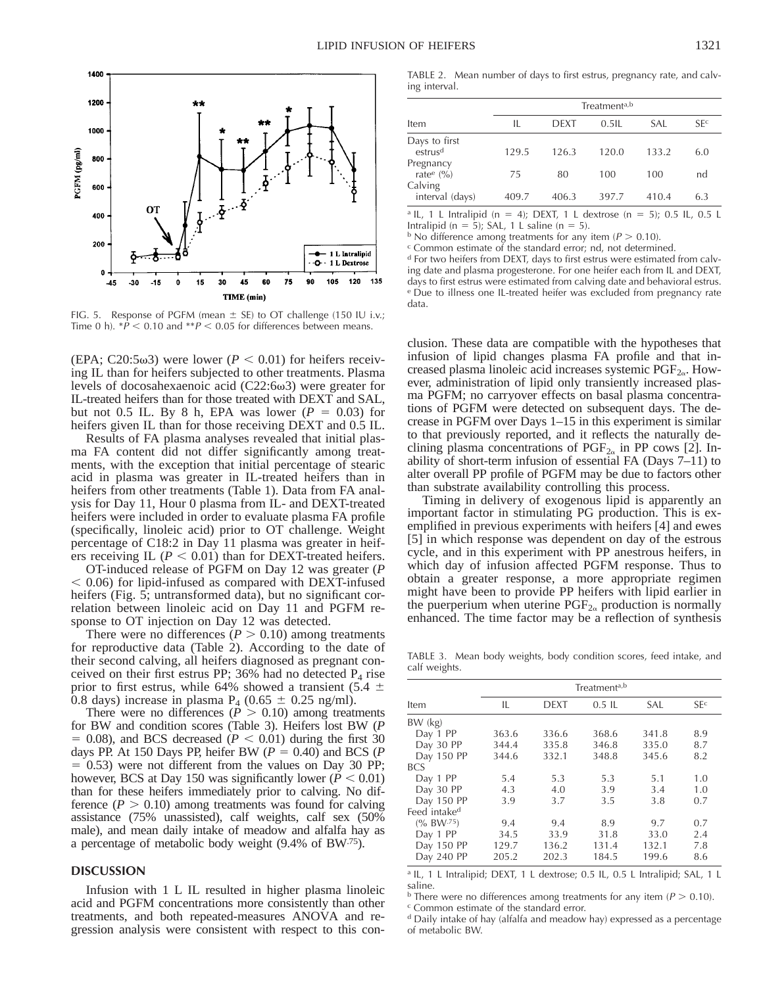

FIG. 5. Response of PGFM (mean  $\pm$  SE) to OT challenge (150 IU i.v.; Time 0 h).  $*P < 0.10$  and  $*P < 0.05$  for differences between means.

(EPA; C20:5 $\omega$ 3) were lower ( $P < 0.01$ ) for heifers receiving IL than for heifers subjected to other treatments. Plasma levels of docosahexaenoic acid  $(C22:6\omega3)$  were greater for IL-treated heifers than for those treated with DEXT and SAL, but not 0.5 IL. By 8 h, EPA was lower  $(P = 0.03)$  for heifers given IL than for those receiving DEXT and 0.5 IL.

Results of FA plasma analyses revealed that initial plasma FA content did not differ significantly among treatments, with the exception that initial percentage of stearic acid in plasma was greater in IL-treated heifers than in heifers from other treatments (Table 1). Data from FA analysis for Day 11, Hour 0 plasma from IL- and DEXT-treated heifers were included in order to evaluate plasma FA profile (specifically, linoleic acid) prior to OT challenge. Weight percentage of C18:2 in Day 11 plasma was greater in heifers receiving IL ( $P < 0.01$ ) than for DEXT-treated heifers.

OT-induced release of PGFM on Day 12 was greater (*P*  $< 0.06$ ) for lipid-infused as compared with DEXT-infused heifers (Fig. 5; untransformed data), but no significant correlation between linoleic acid on Day 11 and PGFM response to OT injection on Day 12 was detected.

There were no differences ( $P > 0.10$ ) among treatments for reproductive data (Table 2). According to the date of their second calving, all heifers diagnosed as pregnant conceived on their first estrus PP; 36% had no detected  $P_4$  rise prior to first estrus, while 64% showed a transient (5.4  $\pm$ 0.8 days) increase in plasma  $P_4$  (0.65  $\pm$  0.25 ng/ml).

There were no differences ( $P > 0.10$ ) among treatments for BW and condition scores (Table 3). Heifers lost BW (*P*  $= 0.08$ ), and BCS decreased ( $P < 0.01$ ) during the first 30 days PP. At 150 Days PP, heifer BW  $(P = 0.40)$  and BCS  $(P$  $= 0.53$ ) were not different from the values on Day 30 PP; however, BCS at Day 150 was significantly lower ( $P < 0.01$ ) than for these heifers immediately prior to calving. No difference  $(P > 0.10)$  among treatments was found for calving assistance (75% unassisted), calf weights, calf sex (50% male), and mean daily intake of meadow and alfalfa hay as a percentage of metabolic body weight (9.4% of BW.75).

### **DISCUSSION**

Infusion with 1 L IL resulted in higher plasma linoleic acid and PGFM concentrations more consistently than other treatments, and both repeated-measures ANOVA and regression analysis were consistent with respect to this con-

TABLE 2. Mean number of days to first estrus, pregnancy rate, and calving interval.

|                                                         | Treatment <sup>a,b</sup> |             |          |       |                 |  |
|---------------------------------------------------------|--------------------------|-------------|----------|-------|-----------------|--|
| Item                                                    | Ш.                       | <b>DEXT</b> | $0.5$ IL | SAL.  | SF <sup>c</sup> |  |
| Days to first<br>estrus <sup>d</sup>                    | 129.5                    | 126.3       | 120.0    | 133.2 | 6.0             |  |
| Pregnancy<br>rate <sup>e</sup> $\frac{6}{6}$<br>Calving | 75                       | 80          | 100      | 100   | nd              |  |
| interval (days)                                         | 409.7                    | 406.3       | 397.7    | 410.4 | 6.3             |  |

<sup>a</sup> IL, 1 L Intralipid (n = 4); DEXT, 1 L dextrose (n = 5); 0.5 IL, 0.5 L Intralipid ( $n = 5$ ); SAL, 1 L saline ( $n = 5$ ).

<sup>b</sup> No difference among treatments for any item ( $P > 0.10$ ).

<sup>c</sup> Common estimate of the standard error; nd, not determined.

<sup>d</sup> For two heifers from DEXT, days to first estrus were estimated from calving date and plasma progesterone. For one heifer each from IL and DEXT, days to first estrus were estimated from calving date and behavioral estrus. <sup>e</sup> Due to illness one IL-treated heifer was excluded from pregnancy rate data.

clusion. These data are compatible with the hypotheses that infusion of lipid changes plasma FA profile and that increased plasma linoleic acid increases systemic  $PGF_{2\alpha}$ . However, administration of lipid only transiently increased plasma PGFM; no carryover effects on basal plasma concentrations of PGFM were detected on subsequent days. The decrease in PGFM over Days 1–15 in this experiment is similar to that previously reported, and it reflects the naturally declining plasma concentrations of  $PGF_{2\alpha}$  in PP cows [2]. Inability of short-term infusion of essential FA (Days 7–11) to alter overall PP profile of PGFM may be due to factors other than substrate availability controlling this process.

Timing in delivery of exogenous lipid is apparently an important factor in stimulating PG production. This is exemplified in previous experiments with heifers [4] and ewes [5] in which response was dependent on day of the estrous cycle, and in this experiment with PP anestrous heifers, in which day of infusion affected PGFM response. Thus to obtain a greater response, a more appropriate regimen might have been to provide PP heifers with lipid earlier in the puerperium when uterine  $PGF_{2\alpha}$  production is normally enhanced. The time factor may be a reflection of synthesis

TABLE 3. Mean body weights, body condition scores, feed intake, and calf weights.

| Item                     | IL    | <b>DEXT</b> | $0.5$ IL | SAL   | SFc |
|--------------------------|-------|-------------|----------|-------|-----|
| $BW$ (kg)                |       |             |          |       |     |
| Day 1 PP                 | 363.6 | 336.6       | 368.6    | 341.8 | 8.9 |
| Day 30 PP                | 344.4 | 335.8       | 346.8    | 335.0 | 8.7 |
| Day 150 PP               | 344.6 | 332.1       | 348.8    | 345.6 | 8.2 |
| <b>BCS</b>               |       |             |          |       |     |
| Day 1 PP                 | 5.4   | 5.3         | 5.3      | 5.1   | 1.0 |
| Day 30 PP                | 4.3   | 4.0         | 3.9      | 3.4   | 1.0 |
| Day 150 PP               | 3.9   | 3.7         | 3.5      | 3.8   | 0.7 |
| Feed intake <sup>d</sup> |       |             |          |       |     |
| (% BW <sup>75</sup> )    | 9.4   | 9.4         | 8.9      | 9.7   | 0.7 |
| Day 1 PP                 | 34.5  | 33.9        | 31.8     | 33.0  | 2.4 |
| Day 150 PP               | 129.7 | 136.2       | 131.4    | 132.1 | 7.8 |
| Day 240 PP               | 205.2 | 202.3       | 184.5    | 199.6 | 8.6 |

<sup>a</sup> IL, 1 L Intralipid; DEXT, 1 L dextrose; 0.5 IL, 0.5 L Intralipid; SAL, 1 L saline.

<sup>b</sup> There were no differences among treatments for any item ( $P > 0.10$ ).

<sup>c</sup> Common estimate of the standard error.

<sup>d</sup> Daily intake of hay (alfalfa and meadow hay) expressed as a percentage of metabolic BW.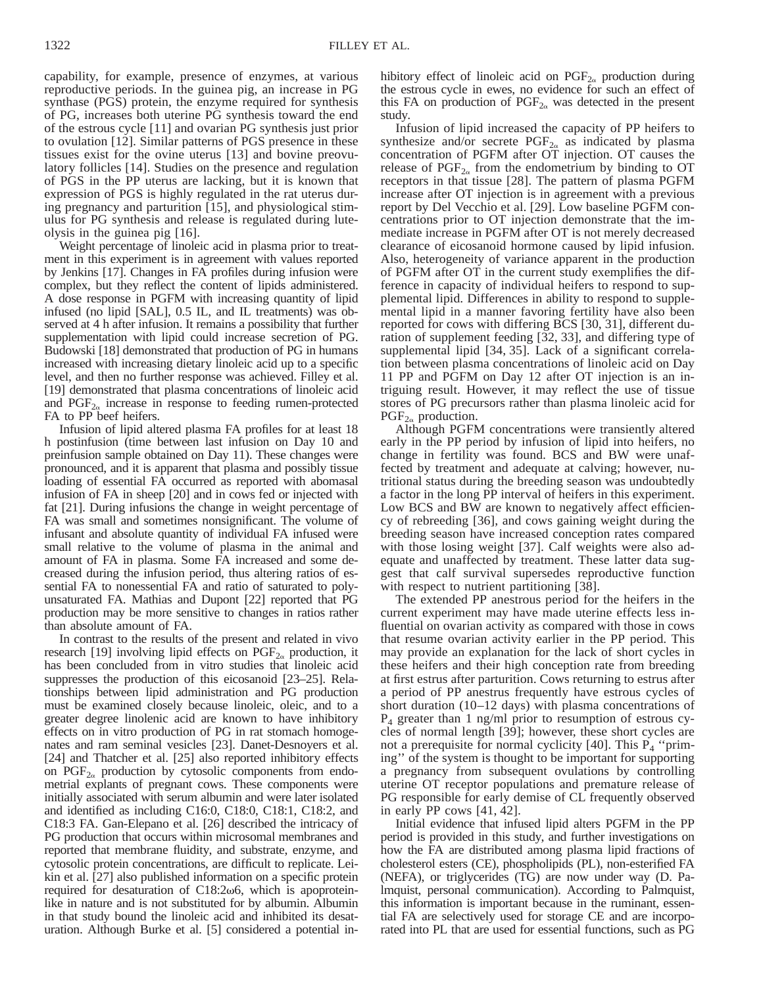capability, for example, presence of enzymes, at various reproductive periods. In the guinea pig, an increase in PG synthase (PGS) protein, the enzyme required for synthesis of PG, increases both uterine PG synthesis toward the end of the estrous cycle [11] and ovarian PG synthesis just prior to ovulation [12]. Similar patterns of PGS presence in these tissues exist for the ovine uterus [13] and bovine preovulatory follicles [14]. Studies on the presence and regulation of PGS in the PP uterus are lacking, but it is known that expression of PGS is highly regulated in the rat uterus during pregnancy and parturition [15], and physiological stimulus for PG synthesis and release is regulated during luteolysis in the guinea pig [16].

Weight percentage of linoleic acid in plasma prior to treatment in this experiment is in agreement with values reported by Jenkins [17]. Changes in FA profiles during infusion were complex, but they reflect the content of lipids administered. A dose response in PGFM with increasing quantity of lipid infused (no lipid [SAL], 0.5 IL, and IL treatments) was observed at 4 h after infusion. It remains a possibility that further supplementation with lipid could increase secretion of PG. Budowski [18] demonstrated that production of PG in humans increased with increasing dietary linoleic acid up to a specific level, and then no further response was achieved. Filley et al. [19] demonstrated that plasma concentrations of linoleic acid and  $PGF_{2\alpha}$  increase in response to feeding rumen-protected FA to PP beef heifers.

Infusion of lipid altered plasma FA profiles for at least 18 h postinfusion (time between last infusion on Day 10 and preinfusion sample obtained on Day 11). These changes were pronounced, and it is apparent that plasma and possibly tissue loading of essential FA occurred as reported with abomasal infusion of FA in sheep [20] and in cows fed or injected with fat [21]. During infusions the change in weight percentage of FA was small and sometimes nonsignificant. The volume of infusant and absolute quantity of individual FA infused were small relative to the volume of plasma in the animal and amount of FA in plasma. Some FA increased and some decreased during the infusion period, thus altering ratios of essential FA to nonessential FA and ratio of saturated to polyunsaturated FA. Mathias and Dupont [22] reported that PG production may be more sensitive to changes in ratios rather than absolute amount of FA.

In contrast to the results of the present and related in vivo research [19] involving lipid effects on  $PGF_{2\alpha}$  production, it has been concluded from in vitro studies that linoleic acid suppresses the production of this eicosanoid [23–25]. Relationships between lipid administration and PG production must be examined closely because linoleic, oleic, and to a greater degree linolenic acid are known to have inhibitory effects on in vitro production of PG in rat stomach homogenates and ram seminal vesicles [23]. Danet-Desnoyers et al. [24] and Thatcher et al. [25] also reported inhibitory effects on  $\text{PGF}_{2\alpha}$  production by cytosolic components from endometrial explants of pregnant cows. These components were initially associated with serum albumin and were later isolated and identified as including C16:0, C18:0, C18:1, C18:2, and C18:3 FA. Gan-Elepano et al. [26] described the intricacy of PG production that occurs within microsomal membranes and reported that membrane fluidity, and substrate, enzyme, and cytosolic protein concentrations, are difficult to replicate. Leikin et al. [27] also published information on a specific protein required for desaturation of  $C18:2\omega$ 6, which is apoproteinlike in nature and is not substituted for by albumin. Albumin in that study bound the linoleic acid and inhibited its desaturation. Although Burke et al. [5] considered a potential inhibitory effect of linoleic acid on  $PGF_{2\alpha}$  production during the estrous cycle in ewes, no evidence for such an effect of this FA on production of  $PGF_{2\alpha}$  was detected in the present study.

Infusion of lipid increased the capacity of PP heifers to synthesize and/or secrete  $PGF_{2\alpha}$  as indicated by plasma concentration of PGFM after OT injection. OT causes the release of  $PGF_{2\alpha}$  from the endometrium by binding to OT receptors in that tissue [28]. The pattern of plasma PGFM increase after OT injection is in agreement with a previous report by Del Vecchio et al. [29]. Low baseline PGFM concentrations prior to OT injection demonstrate that the immediate increase in PGFM after OT is not merely decreased clearance of eicosanoid hormone caused by lipid infusion. Also, heterogeneity of variance apparent in the production of PGFM after OT in the current study exemplifies the difference in capacity of individual heifers to respond to supplemental lipid. Differences in ability to respond to supplemental lipid in a manner favoring fertility have also been reported for cows with differing BCS [30, 31], different duration of supplement feeding [32, 33], and differing type of supplemental lipid [34, 35]. Lack of a significant correlation between plasma concentrations of linoleic acid on Day 11 PP and PGFM on Day 12 after OT injection is an intriguing result. However, it may reflect the use of tissue stores of PG precursors rather than plasma linoleic acid for  $PGF_{2\alpha}$  production.

Although PGFM concentrations were transiently altered early in the PP period by infusion of lipid into heifers, no change in fertility was found. BCS and BW were unaffected by treatment and adequate at calving; however, nutritional status during the breeding season was undoubtedly a factor in the long PP interval of heifers in this experiment. Low BCS and BW are known to negatively affect efficiency of rebreeding [36], and cows gaining weight during the breeding season have increased conception rates compared with those losing weight [37]. Calf weights were also adequate and unaffected by treatment. These latter data suggest that calf survival supersedes reproductive function with respect to nutrient partitioning [38].

The extended PP anestrous period for the heifers in the current experiment may have made uterine effects less influential on ovarian activity as compared with those in cows that resume ovarian activity earlier in the PP period. This may provide an explanation for the lack of short cycles in these heifers and their high conception rate from breeding at first estrus after parturition. Cows returning to estrus after a period of PP anestrus frequently have estrous cycles of short duration (10–12 days) with plasma concentrations of  $P_4$  greater than 1 ng/ml prior to resumption of estrous cycles of normal length [39]; however, these short cycles are not a prerequisite for normal cyclicity [40]. This  $P_4$  "priming'' of the system is thought to be important for supporting a pregnancy from subsequent ovulations by controlling uterine OT receptor populations and premature release of PG responsible for early demise of CL frequently observed in early PP cows [41, 42].

Initial evidence that infused lipid alters PGFM in the PP period is provided in this study, and further investigations on how the FA are distributed among plasma lipid fractions of cholesterol esters (CE), phospholipids (PL), non-esterified FA (NEFA), or triglycerides (TG) are now under way (D. Palmquist, personal communication). According to Palmquist, this information is important because in the ruminant, essential FA are selectively used for storage CE and are incorporated into PL that are used for essential functions, such as PG